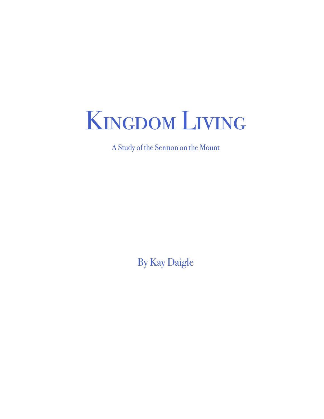

A Study of the Sermon on the Mount

By Kay Daigle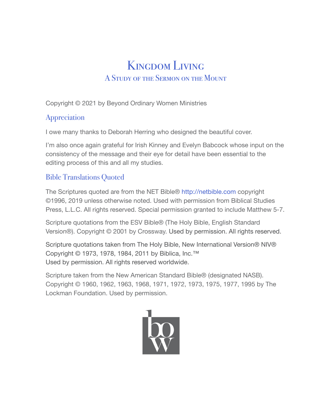# Kingdom Living A Study of the Sermon on the Mount

Copyright © 2021 by Beyond Ordinary Women Ministries

#### Appreciation

I owe many thanks to Deborah Herring who designed the beautiful cover.

I'm also once again grateful for Irish Kinney and Evelyn Babcock whose input on the consistency of the message and their eye for detail have been essential to the editing process of this and all my studies.

### Bible Translations Quoted

The Scriptures quoted are from the NET Bible® http://netbible.com copyright ©1996, 2019 unless otherwise noted. Used with permission from Biblical Studies Press, L.L.C. All rights reserved. Special permission granted to include Matthew 5-7.

Scripture quotations from the ESV Bible® (The Holy Bible, English Standard Version®). Copyright © 2001 by Crossway. Used by permission. All rights reserved.

Scripture quotations taken from The Holy Bible, New International Version® NIV® Copyright © 1973, 1978, 1984, 2011 by Biblica, Inc.™ Used by permission. All rights reserved worldwide.

Scripture taken from the New American Standard Bible® (designated NASB). Copyright © 1960, 1962, 1963, 1968, 1971, 1972, 1973, 1975, 1977, 1995 by The Lockman Foundation. Used by permission.

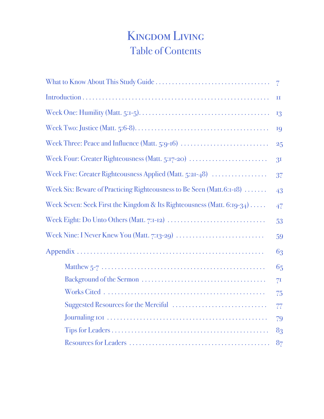# Kingdom Living Table of Contents

|                                                                                                                           | $\overline{7}$ |
|---------------------------------------------------------------------------------------------------------------------------|----------------|
|                                                                                                                           | П              |
| Week One: Humility (Matt. 5:1-5). $\dots$ . $\dots$ . $\dots$ . $\dots$ . $\dots$ . $\dots$ . $\dots$ . $\dots$ . $\dots$ | 13             |
|                                                                                                                           | 19             |
| Week Three: Peace and Influence (Matt. 5:9-16)                                                                            | 25             |
| Week Four: Greater Righteousness (Matt. 5:17-20)                                                                          | 3 <sup>I</sup> |
| Week Five: Greater Righteousness Applied (Matt. $5:2I-48$ )                                                               | 37             |
| Week Six: Beware of Practicing Righteousness to Be Seen (Matt.6:1-18)                                                     | 43             |
| Week Seven: Seek First the Kingdom & Its Righteousness (Matt. 6:19-34) $\dots$                                            | 47             |
|                                                                                                                           | 53             |
|                                                                                                                           | 59             |
|                                                                                                                           | 63             |
|                                                                                                                           | 65             |
|                                                                                                                           | 7I             |
|                                                                                                                           | 75             |
|                                                                                                                           | 77             |
|                                                                                                                           | 79             |
|                                                                                                                           | 83             |
|                                                                                                                           | 8 <sub>7</sub> |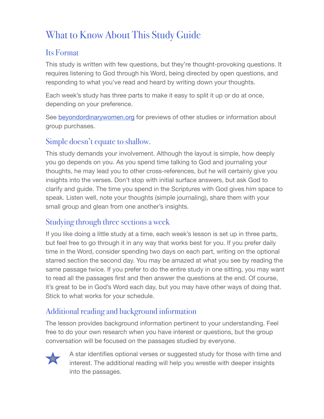# What to Know About This Study Guide

### Its Format

This study is written with few questions, but they're thought-provoking questions. It requires listening to God through his Word, being directed by open questions, and responding to what you've read and heard by writing down your thoughts.

Each week's study has three parts to make it easy to split it up or do at once, depending on your preference.

See [beyondordinarywomen.org](http://beyondordinarywomen.org) for previews of other studies or information about group purchases.

#### Simple doesn't equate to shallow.

This study demands your involvement. Although the layout is simple, how deeply you go depends on you. As you spend time talking to God and journaling your thoughts, he may lead you to other cross-references, but he will certainly give you insights into the verses. Don't stop with initial surface answers, but ask God to clarify and guide. The time you spend in the Scriptures with God gives him space to speak. Listen well, note your thoughts (simple journaling), share them with your small group and glean from one another's insights.

## Studying through three sections a week

If you like doing a little study at a time, each week's lesson is set up in three parts, but feel free to go through it in any way that works best for you. If you prefer daily time in the Word, consider spending two days on each part, writing on the optional starred section the second day. You may be amazed at what you see by reading the same passage twice. If you prefer to do the entire study in one sitting, you may want to read all the passages first and then answer the questions at the end. Of course, it's great to be in God's Word each day, but you may have other ways of doing that. Stick to what works for your schedule.

## Additional reading and background information

The lesson provides background information pertinent to your understanding. Feel free to do your own research when you have interest or questions, but the group conversation will be focused on the passages studied by everyone.



A star identifies optional verses or suggested study for those with time and interest. The additional reading will help you wrestle with deeper insights into the passages.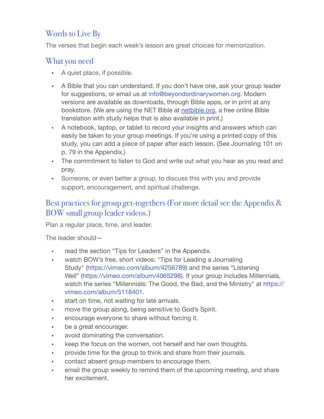# Words to Live By

The verses that begin each week's lesson are great choices for memorization.

### What you need

- A quiet place, if possible.
- A Bible that you can understand. If you don't have one, ask your group leader for suggestions, or email us at info@beyondordinarywomen.org. Modern versions are available as downloads, through Bible apps, or in print at any bookstore. (We are using the NET Bible at [netbible.org](http://netbible.org), a free online Bible translation with study helps that is also available in print.)
- A notebook, laptop, or tablet to record your insights and answers which can easily be taken to your group meetings. If you're using a printed copy of this study, you can add a piece of paper after each lesson. (See Journaling 101 on p. 79 in the Appendix.)
- The commitment to listen to God and write out what you hear as you read and pray.
- Someone, or even better a group, to discuss this with you and provide support, encouragement, and spiritual challenge.

# Best practices for group get-togethers (For more detail see the Appendix & BOW small group leader videos.)

Plan a regular place, time, and leader.

The leader should—

- read the section "Tips for Leaders" in the Appendix.
- watch BOW's free, short videos: "Tips for Leading a Journaling Study" (https://vimeo.com/album/4256789) and the series "Listening Well" (https://vimeo.com/album/4065298). If your group includes Millennials, watch the series "Millennials: The Good, the Bad, and the Ministry" at https:// vimeo.com/album/5118401.
- start on time, not waiting for late arrivals.
- move the group along, being sensitive to God's Spirit.
- encourage everyone to share without forcing it.
- be a great encourager.
- avoid dominating the conversation.
- keep the focus on the women, not herself and her own thoughts.
- provide time for the group to think and share from their journals.
- contact absent group members to encourage them.
- email the group weekly to remind them of the upcoming meeting, and share her excitement.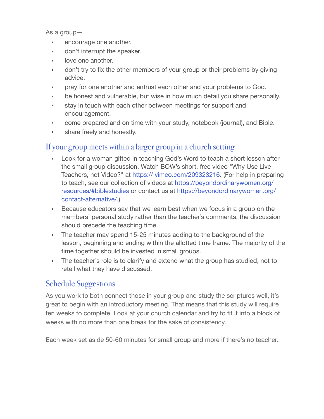As a group—

- encourage one another.
- don't interrupt the speaker.
- love one another.
- don't try to fix the other members of your group or their problems by giving advice.
- pray for one another and entrust each other and your problems to God.
- be honest and vulnerable, but wise in how much detail you share personally.
- stay in touch with each other between meetings for support and encouragement.
- come prepared and on time with your study, notebook (journal), and Bible.
- share freely and honestly.

#### If your group meets within a larger group in a church setting

- Look for a woman gifted in teaching God's Word to teach a short lesson after the small group discussion. Watch BOW's short, free video "Why Use Live Teachers, not Video?" at https:// vimeo.com/209323216. (For help in preparing to teach, see our collection of videos at [https://beyondordinarywomen.org/](https://beyondordinarywomen.org/resources/#biblestudies) [resources/#biblestudies](https://beyondordinarywomen.org/resources/#biblestudies) or contact us at [https://beyondordinarywomen.org/](https://beyondordinarywomen.org/contact-alternative/) [contact-alternative/.](https://beyondordinarywomen.org/contact-alternative/))
- Because educators say that we learn best when we focus in a group on the members' personal study rather than the teacher's comments, the discussion should precede the teaching time.
- The teacher may spend 15-25 minutes adding to the background of the lesson, beginning and ending within the allotted time frame. The majority of the time together should be invested in small groups.
- The teacher's role is to clarify and extend what the group has studied, not to retell what they have discussed.

#### Schedule Suggestions

As you work to both connect those in your group and study the scriptures well, it's great to begin with an introductory meeting. That means that this study will require ten weeks to complete. Look at your church calendar and try to fit it into a block of weeks with no more than one break for the sake of consistency.

Each week set aside 50-60 minutes for small group and more if there's no teacher.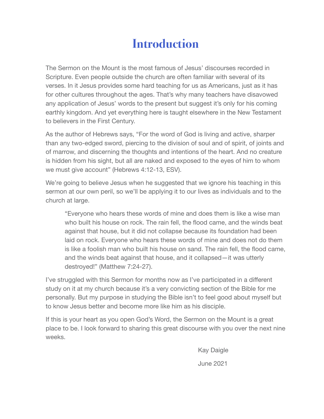# **Introduction**

The Sermon on the Mount is the most famous of Jesus' discourses recorded in Scripture. Even people outside the church are often familiar with several of its verses. In it Jesus provides some hard teaching for us as Americans, just as it has for other cultures throughout the ages. That's why many teachers have disavowed any application of Jesus' words to the present but suggest it's only for his coming earthly kingdom. And yet everything here is taught elsewhere in the New Testament to believers in the First Century.

As the author of Hebrews says, "For the word of God is living and active, sharper than any two-edged sword, piercing to the division of soul and of spirit, of joints and of marrow, and discerning the thoughts and intentions of the heart. And no creature is hidden from his sight, but all are naked and exposed to the eyes of him to whom we must give account" (Hebrews 4:12-13, ESV).

We're going to believe Jesus when he suggested that we ignore his teaching in this sermon at our own peril, so we'll be applying it to our lives as individuals and to the church at large.

"Everyone who hears these words of mine and does them is like a wise man who built his house on rock. The rain fell, the flood came, and the winds beat against that house, but it did not collapse because its foundation had been laid on rock. Everyone who hears these words of mine and does not do them is like a foolish man who built his house on sand. The rain fell, the flood came, and the winds beat against that house, and it collapsed—it was utterly destroyed!" (Matthew 7:24-27).

I've struggled with this Sermon for months now as I've participated in a different study on it at my church because it's a very convicting section of the Bible for me personally. But my purpose in studying the Bible isn't to feel good about myself but to know Jesus better and become more like him as his disciple.

If this is your heart as you open God's Word, the Sermon on the Mount is a great place to be. I look forward to sharing this great discourse with you over the next nine weeks.

> Kay Daigle June 2021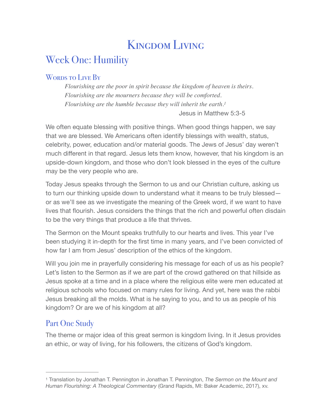# <span id="page-9-1"></span>Kingdom Living

# Week One: Humility

#### WORDS TO LIVE BY

*Flourishing are the poor in spirit because the kingdom of heaven is theirs. Flourishing are the mourners because they will be comforted. Flourishing are the humble because they will inherit the earth[.1](#page-9-0)* Jesus in Matthew 5:3-5

We often equate blessing with positive things. When good things happen, we say that we are blessed. We Americans often identify blessings with wealth, status, celebrity, power, education and/or material goods. The Jews of Jesus' day weren't much different in that regard. Jesus lets them know, however, that his kingdom is an upside-down kingdom, and those who don't look blessed in the eyes of the culture may be the very people who are.

Today Jesus speaks through the Sermon to us and our Christian culture, asking us to turn our thinking upside down to understand what it means to be truly blessed or as we'll see as we investigate the meaning of the Greek word, if we want to have lives that flourish. Jesus considers the things that the rich and powerful often disdain to be the very things that produce a life that thrives.

The Sermon on the Mount speaks truthfully to our hearts and lives. This year I've been studying it in-depth for the first time in many years, and I've been convicted of how far I am from Jesus' description of the ethics of the kingdom.

Will you join me in prayerfully considering his message for each of us as his people? Let's listen to the Sermon as if we are part of the crowd gathered on that hillside as Jesus spoke at a time and in a place where the religious elite were men educated at religious schools who focused on many rules for living. And yet, here was the rabbi Jesus breaking all the molds. What is he saying to you, and to us as people of his kingdom? Or are we of his kingdom at all?

# Part One Study

The theme or major idea of this great sermon is kingdom living. In it Jesus provides an ethic, or way of living, for his followers, the citizens of God's kingdom.

<span id="page-9-0"></span>Translation by Jonathan T. Pennington in Jonathan T. Pennington, *The Sermon on the Mount and* [1](#page-9-1) *Human Flourishing: A Theological Commentary* (Grand Rapids, MI: Baker Academic, 2017), xv.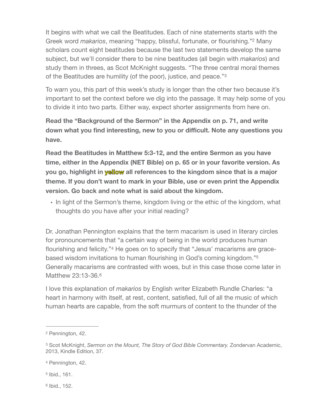<span id="page-10-5"></span>It begins with what we call the Beatitudes. Each of nine statements starts with the Greek word *makarios*, meaning "happy, blissful, fortunate, or flourishing."<sup>[2](#page-10-0)</sup> Many scholars count eight beatitudes because the last two statements develop the same subject, but we'll consider there to be nine beatitudes (all begin with *makarios*) and study them in threes, as Scot McKnight suggests. "The three central moral themes of the Beatitudes are humility (of the poor), justice, and peace.["3](#page-10-1)

<span id="page-10-6"></span>To warn you, this part of this week's study is longer than the other two because it's important to set the context before we dig into the passage. It may help some of you to divide it into two parts. Either way, expect shorter assignments from here on.

**Read the "Background of the Sermon" in the Appendix on p. 71, and write down what you find interesting, new to you or difficult. Note any questions you have.** 

**Read the Beatitudes in Matthew 5:3-12, and the entire Sermon as you have time, either in the Appendix (NET Bible) on p. 65 or in your favorite version. As you go, highlight in yellow all references to the kingdom since that is a major theme. If you don't want to mark in your Bible, use or even print the Appendix version. Go back and note what is said about the kingdom.** 

• In light of the Sermon's theme, kingdom living or the ethic of the kingdom, what thoughts do you have after your initial reading?

<span id="page-10-8"></span><span id="page-10-7"></span>Dr. Jonathan Pennington explains that the term macarism is used in literary circles for pronouncements that "a certain way of being in the world produces human flourishing and felicity."<sup>4</sup> He goes on to specify that "Jesus' macarisms are gracebased wisdom invitations to human flourishing in God's coming kingdom.["5](#page-10-3) Generally macarisms are contrasted with woes, but in this case those come later in Matthew 23:13-3[6](#page-10-4).6

<span id="page-10-9"></span>I love this explanation of *makarios* by English writer Elizabeth Rundle Charles: "a heart in harmony with itself, at rest, content, satisfied, full of all the music of which human hearts are capable, from the soft murmurs of content to the thunder of the

<span id="page-10-4"></span> $6$  Ibid., 152.

<span id="page-10-0"></span><sup>&</sup>lt;sup>[2](#page-10-5)</sup> Pennington, 42.

<span id="page-10-1"></span><sup>&</sup>lt;sup>[3](#page-10-6)</sup> Scot McKnight, *Sermon on the Mount, The Story of God Bible Commentary. Zondervan Academic,* 2013, Kindle Edition, 37.

<span id="page-10-2"></span><sup>&</sup>lt;sup>[4](#page-10-7)</sup> Pennington, 42.

<span id="page-10-3"></span> $5$  Ibid., 161.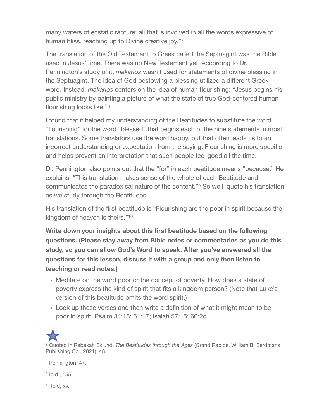<span id="page-11-4"></span>many waters of ecstatic rapture: all that is involved in all the words expressive of human bliss, reaching up to Divine creative joy."[7](#page-11-0)

The translation of the Old Testament to Greek called the Septuagint was the Bible used in Jesus' time. There was no New Testament yet. According to Dr. Pennington's study of it, *makarios* wasn't used for statements of divine blessing in the Septuagint. The idea of God bestowing a blessing utilized a different Greek word. Instead, *makarios* centers on the idea of human flourishing: "Jesus begins his public ministry by painting a picture of what the state of true God-centered human flourishing looks like."[8](#page-11-1)

<span id="page-11-5"></span>I found that it helped my understanding of the Beatitudes to substitute the word "flourishing" for the word "blessed" that begins each of the nine statements in most translations. Some translators use the word happy, but that often leads us to an incorrect understanding or expectation from the saying. Flourishing is more specific and helps prevent an interpretation that such people feel good all the time.

<span id="page-11-6"></span>Dr. Pennington also points out that the "for" in each beatitude means "because." He explains: "This translation makes sense of the whole of each Beatitude and communicates the paradoxical nature of the content."<sup>[9](#page-11-2)</sup> So we'll quote his translation as we study through the Beatitudes.

<span id="page-11-7"></span>His translation of the first beatitude is "Flourishing are the poor in spirit because the kingdom of heaven is theirs.["10](#page-11-3)

**Write down your insights about this first beatitude based on the following questions. (Please stay away from Bible notes or commentaries as you do this study, so you can allow God's Word to speak. After you've answered all the questions for this lesson, discuss it with a group and only then listen to teaching or read notes.)** 

- Meditate on the word poor or the concept of poverty. How does a state of poverty express the kind of spirit that fits a kingdom person? (Note that Luke's version of this beatitude omits the word spirit.)
- Look up these verses and then write a definition of what it might mean to be poor in spirit: Psalm 34:18; 51:17; Isaiah 57:15; 66:2c.

<span id="page-11-0"></span> Quoted in Rebekah Eklund, *The Beatitudes through the Ages* (Grand Rapids, William B. Eerdmans [7](#page-11-4) Publishing Co., 2021), 48.

<span id="page-11-1"></span><sup>[8](#page-11-5)</sup> Pennington, 47.

<span id="page-11-2"></span> $9$  Ibid., 155.

<span id="page-11-3"></span> $10$  Ibid, xv.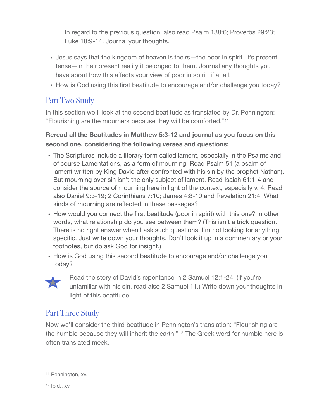In regard to the previous question, also read Psalm 138:6; Proverbs 29:23; Luke 18:9-14. Journal your thoughts.

- Jesus says that the kingdom of heaven is theirs—the poor in spirit. It's present tense—in their present reality it belonged to them. Journal any thoughts you have about how this affects your view of poor in spirit, if at all.
- <span id="page-12-2"></span>• How is God using this first beatitude to encourage and/or challenge you today?

# Part Two Study

In this section we'll look at the second beatitude as translated by Dr. Pennington: "Flourishing are the mourners because they will be comforted.["11](#page-12-0)

#### **Reread all the Beatitudes in Matthew 5:3-12 and journal as you focus on this second one, considering the following verses and questions:**

- The Scriptures include a literary form called lament, especially in the Psalms and of course Lamentations, as a form of mourning. Read Psalm 51 (a psalm of lament written by King David after confronted with his sin by the prophet Nathan). But mourning over sin isn't the only subject of lament. Read Isaiah 61:1-4 and consider the source of mourning here in light of the context, especially v. 4. Read also Daniel 9:3-19; 2 Corinthians 7:10; James 4:8-10 and Revelation 21:4. What kinds of mourning are reflected in these passages?
- How would you connect the first beatitude (poor in spirit) with this one? In other words, what relationship do you see between them? (This isn't a trick question. There is no right answer when I ask such questions. I'm not looking for anything specific. Just write down your thoughts. Don't look it up in a commentary or your footnotes, but do ask God for insight.)
- How is God using this second beatitude to encourage and/or challenge you today?



<span id="page-12-3"></span>Read the story of David's repentance in 2 Samuel 12:1-24. (If you're unfamiliar with his sin, read also 2 Samuel 11.) Write down your thoughts in light of this beatitude.

## Part Three Study

Now we'll consider the third beatitude in Pennington's translation: "Flourishing are the humble because they will inherit the earth."<sup>[12](#page-12-1)</sup> The Greek word for humble here is often translated meek.

<span id="page-12-1"></span><span id="page-12-0"></span><sup>&</sup>lt;sup>[11](#page-12-2)</sup> Pennington, xv.